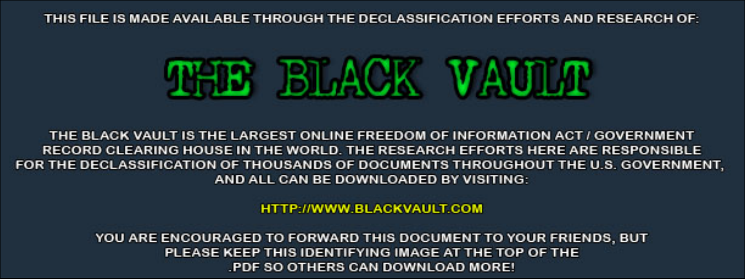THIS FILE IS MADE AVAILABLE THROUGH THE DECLASSIFICATION EFFORTS AND RESEARCH OF:



THE BLACK VAULT IS THE LARGEST ONLINE FREEDOM OF INFORMATION ACT / GOVERNMENT RECORD CLEARING HOUSE IN THE WORLD. THE RESEARCH EFFORTS HERE ARE RESPONSIBLE FOR THE DECLASSIFICATION OF THOUSANDS OF DOCUMENTS THROUGHOUT THE U.S. GOVERNMENT, AND ALL CAN BE DOWNLOADED BY VISITING:

**HTTP://WWW.BLACKVAULT.COM** 

YOU ARE ENCOURAGED TO FORWARD THIS DOCUMENT TO YOUR FRIENDS, BUT PLEASE KEEP THIS IDENTIFYING IMAGE AT THE TOP OF THE PDF SO OTHERS CAN DOWNLOAD MORE!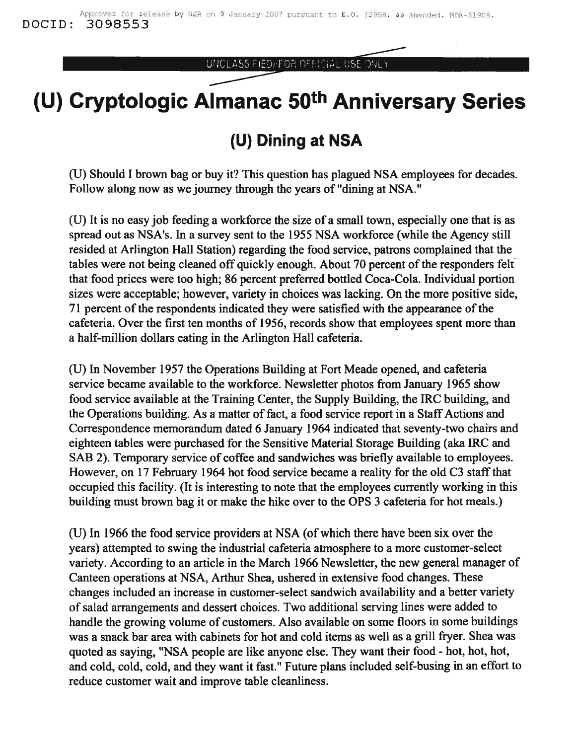UNCLASSIFIED/FOR OFFICIAL USE ONLY

## **(U) Cryptologic Almanac 50th Anniversary Series**

## **(U) Dining at NSA**

(U) Should I brown bag or buy it? This question has plagued NSA employees for decades. Follow along now as we journey through the years of "dining at NSA."

(U) It is no easy job feeding a workforce the size of a small town, especially one that is as spread out as NSA's. In a survey sent to the 1955 NSA workforce (while the Agency still resided at Arlington Hall Station) regarding the food service, patrons complained that the tables were not being cleaned off quickly enough. About 70 percent of the responders felt that food prices were too high; 86 percent preferred bottled Coca-Cola. Individual portion sizes were acceptable; however, variety in choices was lacking. On the more positive side, 71 percent of the respondents indicated they were satisfied with the appearance of the cafeteria. Over the first ten months of 1956, records show that employees spent more than a half-million dollars eating in the Arlington Hall cafeteria.

(U) In November 1957 the Operations Building at Fort Meade opened, and cafeteria service became available to the workforce. Newsletter photos from January 1965 show food service available at the Training Center, the Supply Building, the IRC building, and the Operations building. As a matter of fact, a food service report in a Staff Actions and Correspondence memorandum dated 6 January 1964 indicated that seventy-two chairs and eighteen tables were purchased for the Sensitive Material Storage Building (aka IRC and SAB 2). Temporary service of coffee and sandwiches was briefly available to employees. However, on 17 February 1964 hot food service became a reality for the old C3 staffthat occupied this facility. (It is interesting to note that the employees currently working in this building must brown bag it or make the hike over to the OPS 3 cafeteria for hot meals.)

(U) In 1966 the food service providers at NSA (ofwhich there have been six over the years) attempted to swing the industrial cafeteria atmosphere to a more customer-select variety. According to an article in the March 1966 Newsletter, the new general manager of Canteen operations at NSA, Arthur Shea, ushered in extensive food changes. These changes included an increase in customer-select sandwich availability and a better variety ofsalad arrangements and dessert choices. Two additional serving lines were added to handle the growing volume of customers. Also available on some floors in some buildings was a snack bar area with cabinets for hot and cold items as well as a grill fryer. Shea was quoted as saying, "NSA people are like anyone else. They want their food - hot, hot, hot, and cold, cold, cold, and they want it fast." Future plans included self-busing in an effort to reduce customer wait and improve table cleanliness.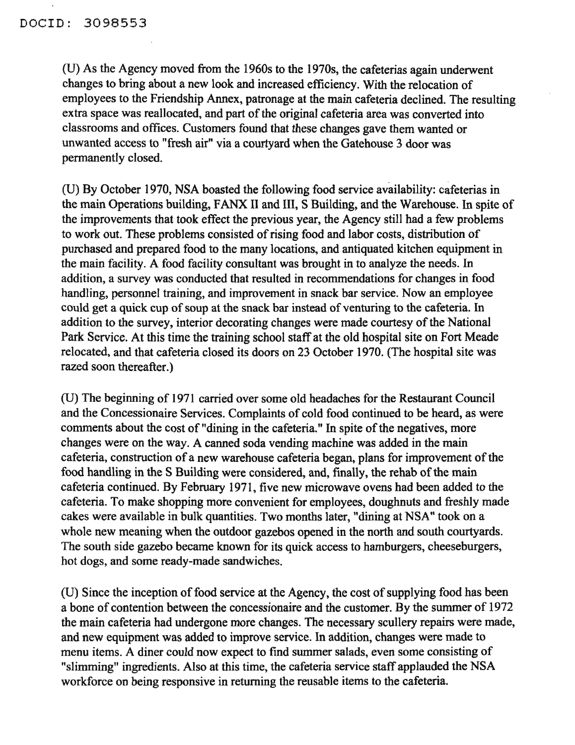(U) As the Agency moved from the 1960s to the 1970s, the cafeterias again underwent changes to bring about a new look and increased efficiency. With the relocation of employees to the Friendship Annex, patronage at the main cafeteria declined. The resulting extra space was reallocated, and part of the original cafeteria area was converted into classrooms and offices. Customers found that these changes gave them wanted or unwanted access to "fresh air" via a courtyard when the Gatehouse 3 door was permanently closed.

(U) By October 1970, NSA boasted the following food service availability: cafeterias in the main Operations building, FANX II and III, S Building, and the Warehouse. In spite of the improvements that took effect the previous year, the Agency still had a few problems to work out. These problems consisted of rising food and labor costs, distribution of purchased and prepared food to the many locations, and antiquated kitchen equipment in the main facility. A food facility consultant was brought in to analyze the needs. In addition, a survey was conducted that resulted in recommendations for changes in food handling, personnel training, and improvement in snack bar service. Now an employee could get a quick cup of soup at the snack bar instead of venturing to the cafeteria. In addition to the survey, interior decorating changes were made courtesy of the National Park Service. At this time the training school staff at the old hospital site on Fort Meade relocated, and that cafeteria closed its doors on 23 October 1970. (The hospital site was razed soon thereafter.)

(U) The beginning of 1971 carried over some old headaches for the Restaurant Council and the Concessionaire Services. Complaints of cold food continued to be heard, as were comments about the cost of "dining in the cafeteria." In spite of the negatives, more changes were on the way. A canned soda vending machine was added in the main cafeteria, construction of a new warehouse cafeteria began, plans for improvement of the food handling in the S Building were considered, and, finally, the rehab of the main cafeteria continued. By February 1971, five new microwave ovens had been added to the cafeteria. To make shopping more convenient for employees, doughnuts and freshly made cakes were available in bulk quantities. Two months later, "dining at NSA" took on a whole new meaning when the outdoor gazebos opened in the north and south courtyards. The south side gazebo became known for its quick access to hamburgers, cheeseburgers, hot dogs, and some ready-made sandwiches.

(U) Since the inception of food service at the Agency, the cost of supplying food has been a bone of contention between the concessionaire and the customer. By the summer of 1972 the main cafeteria had undergone more changes. The necessary scullery repairs were made, and new equipment was added to improve service. In addition, changes were made to menu items. A diner could now expect to find summer salads, even some consisting of "slimming" ingredients. Also at this time, the cafeteria service staff applauded the NSA workforce on being responsive in returning the reusable items to the cafeteria.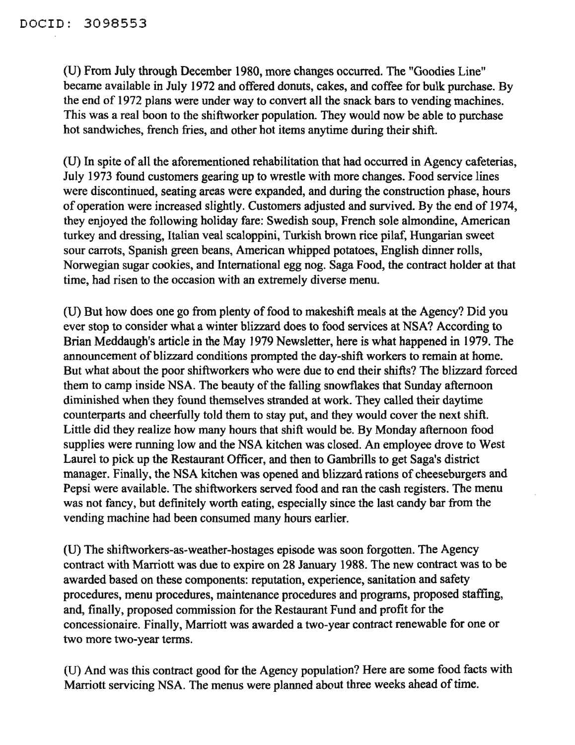(U) From July through December 1980, more changes occurred. The "Goodies Line" became available in July 1972 and offered donuts, cakes, and coffee for bulk purchase. By the end of 1972 plans were under way to convert all the snack bars to vending machines. This was a real boon to the shiftworker population. They would now be able to purchase hot sandwiches, french fries, and other hot items anytime during their shift.

(U) In spite of all the aforementioned rehabilitation that had occurred in Agency cafeterias, July 1973 found customers gearing up to wrestle with more changes. Food service lines were discontinued, seating areas were expanded, and during the construction phase, hours of operation were increased slightly. Customers adjusted and survived. By the end of 1974, they enjoyed the following holiday fare: Swedish soup, French sole almondine, American turkey and dressing, Italian veal scaloppini, Turkish brown rice pilaf, Hungarian sweet sour carrots, Spanish green beans, American whipped potatoes, English dinner rolls, Norwegian sugar cookies, and International egg nog. Saga Food, the contract holder at that time, had risen to the occasion with an extremely diverse menu.

(U) But how does one go from plenty of food to makeshift meals at the Agency? Did you ever stop to consider what a winter blizzard does to food services at NSA? According to Brian Meddaugh's article in the May 1979 Newsletter, here is what happened in 1979. The announcement of blizzard conditions prompted the day-shift workers to remain at home. But what about the poor shiftworkers who were due to end their shifts? The blizzard forced them to camp inside NSA. The beauty of the falling snowflakes that Sunday afternoon diminished when they found themselves stranded at work. They called their daytime counterparts and cheerfully told them to stay put, and they would cover the next shift. Little did they realize how many hours that shift would be. By Monday afternoon food supplies were running low and the NSA kitchen was closed. An employee drove to West Laurel to pick up the Restaurant Officer, and then to Gambrills to get Saga's district manager. Finally, the NSA kitchen was opened and blizzard rations of cheeseburgers and Pepsi were available. The shiftworkers served food and ran the cash registers. The menu was not fancy, but definitely worth eating, especially since the last candy bar from the vending machine had been consumed many hours earlier.

(U) The shiftworkers-as-weather-hostages episode was soon forgotten. The Agency contract with Marriott was due to expire on 28 January 1988. The new contract was to be awarded based on these components: reputation, experience, sanitation and safety procedures, menu procedures, maintenance procedures and programs, proposed staffing, and, finally, proposed commission for the Restaurant Fund and profit for the concessionaire. Finally, Marriott was awarded a two-year contract renewable for one or two more two-year terms.

(U) And was this contract good for the Agency population? Here are some food facts with Marriott servicing NSA. The menus were planned about three weeks ahead of time.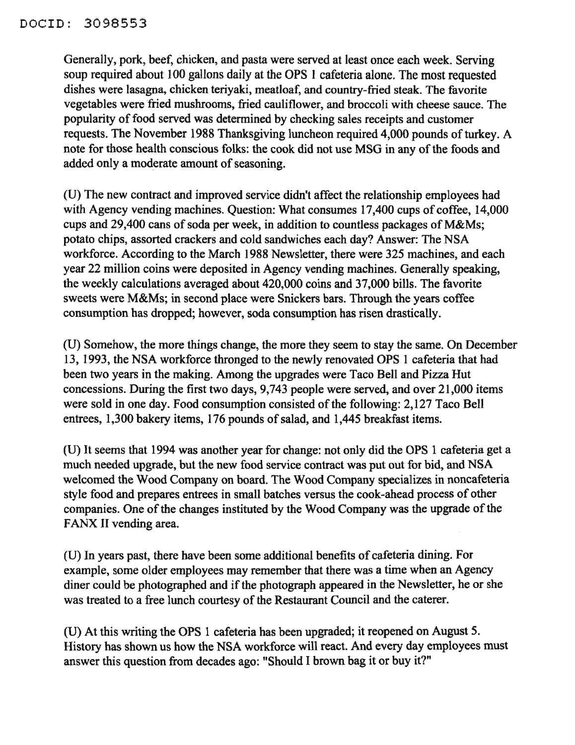Generally, pork, beef, chicken, and pasta were served at least once each week. Serving soup required about 100 gallons daily at the OPS I cafeteria alone. The most requested dishes were lasagna, chicken teriyaki, meatloaf, and country-fried steak. The favorite vegetables were fried mushrooms, fried cauliflower, and broccoli with cheese sauce. The popularity of food served was determined by checking sales receipts and customer requests. The November 1988 Thanksgiving luncheon required 4,000 pounds of turkey. A note for those health conscious folks: the cook did not use MSG in any of the foods and added only a moderate amount of seasoning.

(U) The new contract and improved service didn't affect the relationship employees had with Agency vending machines. Question: What consumes 17,400 cups of coffee, 14,000 cups and 29,400 cans of soda per week, in addition to countless packages of  $M&Ms$ ; potato chips, assorted crackers and cold sandwiches each day? Answer: The NSA workforce. According to the March 1988 Newsletter, there were 325 machines, and each year 22 million coins were deposited in Agency vending machines. Generally speaking, the weekly calculations averaged about 420,000 coins and 37,000 bills. The favorite sweets were M&Ms; in second place were Snickers bars. Through the years coffee consumption has dropped; however, soda consumption has risen drastically.

(U) Somehow, the more things change, the more they seem to stay the same. On December 13, 1993, the NSA workforce thronged to the newly renovated OPS 1 cafeteria that had been two years in the making. Among the upgrades were Taco Bell and Pizza Hut concessions. During the first two days, 9,743 people were served, and over 21,000 items were sold in one day. Food consumption consisted of the following: 2,127 Taco Bell entrees, 1,300 bakery items, 176 pounds of salad, and 1,445 breakfast items.

(U) It seems that 1994 was another year for change: not only did the OPS 1 cafeteria get a much needed upgrade, but the new food service contract was put out for bid, and NSA welcomed the Wood Company on board. The Wood Company specializes in noncafeteria style food and prepares entrees in small batches versus the cook-ahead process of other companies. One of the changes instituted by the Wood Company was the upgrade of the FANX II vending area.

(U) In years past, there have been some additional benefits of cafeteria dining. For example, some older employees may remember that there was a time when an Agency diner could be photographed and if the photograph appeared in the Newsletter, he or she was treated to a free lunch courtesy of the Restaurant Council and the caterer.

(U) At this writing the OPS I cafeteria has been upgraded; it reopened on August 5. History has shown us how the NSA workforce will react. And every day employees must answer this question from decades ago: "Should I brown bag it or buy it?"